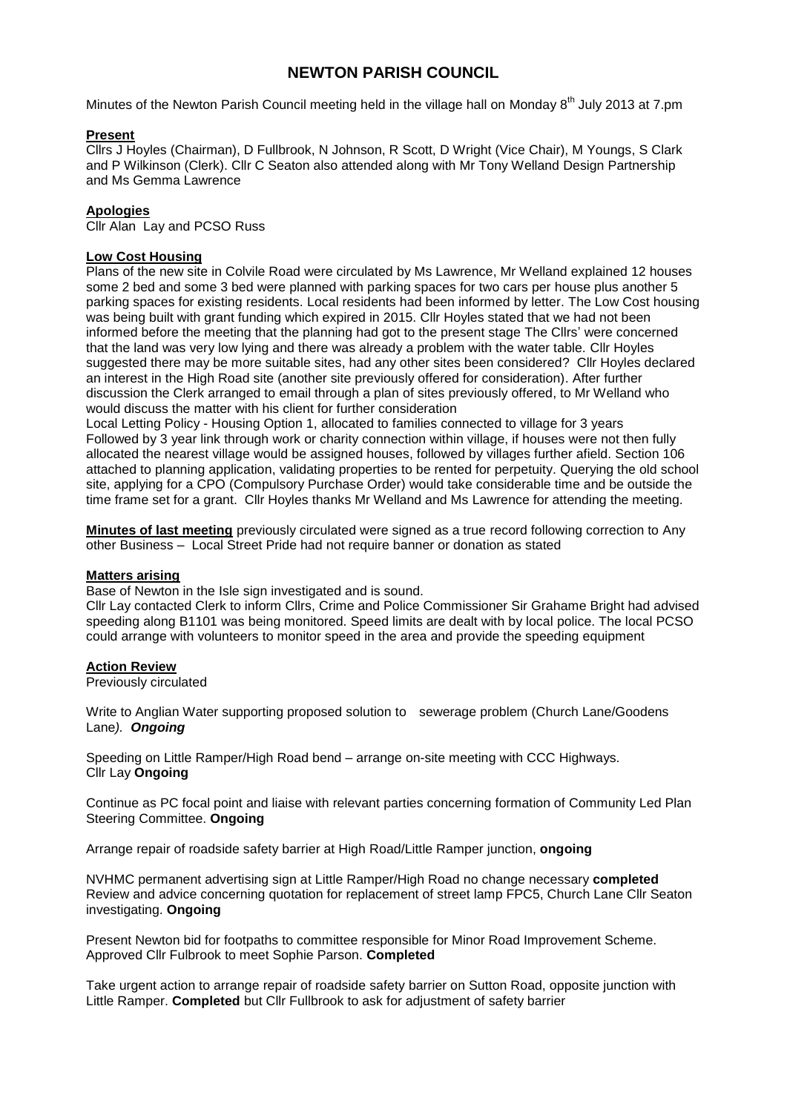# **NEWTON PARISH COUNCIL**

Minutes of the Newton Parish Council meeting held in the village hall on Monday 8<sup>th</sup> July 2013 at 7.pm

## **Present**

Cllrs J Hoyles (Chairman), D Fullbrook, N Johnson, R Scott, D Wright (Vice Chair), M Youngs, S Clark and P Wilkinson (Clerk). Cllr C Seaton also attended along with Mr Tony Welland Design Partnership and Ms Gemma Lawrence

## **Apologies**

Cllr Alan Lay and PCSO Russ

## **Low Cost Housing**

Plans of the new site in Colvile Road were circulated by Ms Lawrence, Mr Welland explained 12 houses some 2 bed and some 3 bed were planned with parking spaces for two cars per house plus another 5 parking spaces for existing residents. Local residents had been informed by letter. The Low Cost housing was being built with grant funding which expired in 2015. Cllr Hoyles stated that we had not been informed before the meeting that the planning had got to the present stage The Cllrs' were concerned that the land was very low lying and there was already a problem with the water table. Cllr Hoyles suggested there may be more suitable sites, had any other sites been considered? Cllr Hoyles declared an interest in the High Road site (another site previously offered for consideration). After further discussion the Clerk arranged to email through a plan of sites previously offered, to Mr Welland who would discuss the matter with his client for further consideration

Local Letting Policy - Housing Option 1, allocated to families connected to village for 3 years Followed by 3 year link through work or charity connection within village, if houses were not then fully allocated the nearest village would be assigned houses, followed by villages further afield. Section 106 attached to planning application, validating properties to be rented for perpetuity. Querying the old school site, applying for a CPO (Compulsory Purchase Order) would take considerable time and be outside the time frame set for a grant. Cllr Hoyles thanks Mr Welland and Ms Lawrence for attending the meeting.

**Minutes of last meeting** previously circulated were signed as a true record following correction to Any other Business – Local Street Pride had not require banner or donation as stated

#### **Matters arising**

Base of Newton in the Isle sign investigated and is sound.

Cllr Lay contacted Clerk to inform Cllrs, Crime and Police Commissioner Sir Grahame Bright had advised speeding along B1101 was being monitored. Speed limits are dealt with by local police. The local PCSO could arrange with volunteers to monitor speed in the area and provide the speeding equipment

#### **Action Review**

#### Previously circulated

Write to Anglian Water supporting proposed solution to sewerage problem (Church Lane/Goodens Lane*). Ongoing*

Speeding on Little Ramper/High Road bend – arrange on-site meeting with CCC Highways. Cllr Lay **Ongoing**

Continue as PC focal point and liaise with relevant parties concerning formation of Community Led Plan Steering Committee. **Ongoing**

Arrange repair of roadside safety barrier at High Road/Little Ramper junction, **ongoing**

NVHMC permanent advertising sign at Little Ramper/High Road no change necessary **completed** Review and advice concerning quotation for replacement of street lamp FPC5, Church Lane Cllr Seaton investigating. **Ongoing**

Present Newton bid for footpaths to committee responsible for Minor Road Improvement Scheme. Approved Cllr Fulbrook to meet Sophie Parson. **Completed**

Take urgent action to arrange repair of roadside safety barrier on Sutton Road, opposite junction with Little Ramper. **Completed** but Cllr Fullbrook to ask for adjustment of safety barrier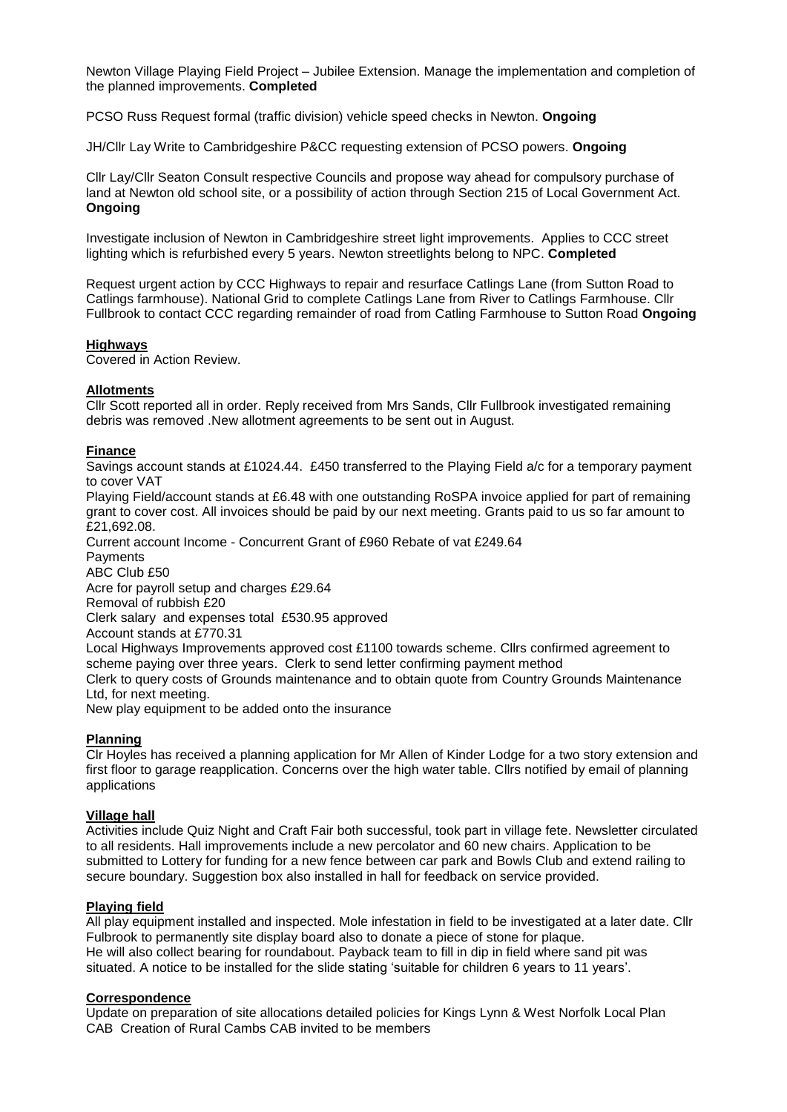Newton Village Playing Field Project – Jubilee Extension. Manage the implementation and completion of the planned improvements. **Completed**

PCSO Russ Request formal (traffic division) vehicle speed checks in Newton. **Ongoing**

JH/Cllr Lay Write to Cambridgeshire P&CC requesting extension of PCSO powers. **Ongoing**

Cllr Lay/Cllr Seaton Consult respective Councils and propose way ahead for compulsory purchase of land at Newton old school site, or a possibility of action through Section 215 of Local Government Act. **Ongoing**

Investigate inclusion of Newton in Cambridgeshire street light improvements. Applies to CCC street lighting which is refurbished every 5 years. Newton streetlights belong to NPC. **Completed**

Request urgent action by CCC Highways to repair and resurface Catlings Lane (from Sutton Road to Catlings farmhouse). National Grid to complete Catlings Lane from River to Catlings Farmhouse. Cllr Fullbrook to contact CCC regarding remainder of road from Catling Farmhouse to Sutton Road **Ongoing**

## **Highways**

Covered in Action Review.

## **Allotments**

Cllr Scott reported all in order. Reply received from Mrs Sands, Cllr Fullbrook investigated remaining debris was removed .New allotment agreements to be sent out in August.

## **Finance**

Savings account stands at £1024.44. £450 transferred to the Playing Field a/c for a temporary payment to cover VAT

Playing Field/account stands at £6.48 with one outstanding RoSPA invoice applied for part of remaining grant to cover cost. All invoices should be paid by our next meeting. Grants paid to us so far amount to £21,692.08.

Current account Income - Concurrent Grant of £960 Rebate of vat £249.64

Payments

ABC Club £50

Acre for payroll setup and charges £29.64

Removal of rubbish £20

Clerk salary and expenses total £530.95 approved

Account stands at £770.31

Local Highways Improvements approved cost £1100 towards scheme. Cllrs confirmed agreement to scheme paying over three years. Clerk to send letter confirming payment method Clerk to query costs of Grounds maintenance and to obtain quote from Country Grounds Maintenance Ltd, for next meeting.

New play equipment to be added onto the insurance

# **Planning**

Clr Hoyles has received a planning application for Mr Allen of Kinder Lodge for a two story extension and first floor to garage reapplication. Concerns over the high water table. Cllrs notified by email of planning applications

# **Village hall**

Activities include Quiz Night and Craft Fair both successful, took part in village fete. Newsletter circulated to all residents. Hall improvements include a new percolator and 60 new chairs. Application to be submitted to Lottery for funding for a new fence between car park and Bowls Club and extend railing to secure boundary. Suggestion box also installed in hall for feedback on service provided.

# **Playing field**

All play equipment installed and inspected. Mole infestation in field to be investigated at a later date. Cllr Fulbrook to permanently site display board also to donate a piece of stone for plaque. He will also collect bearing for roundabout. Payback team to fill in dip in field where sand pit was situated. A notice to be installed for the slide stating 'suitable for children 6 years to 11 years'.

# **Correspondence**

Update on preparation of site allocations detailed policies for Kings Lynn & West Norfolk Local Plan CAB Creation of Rural Cambs CAB invited to be members